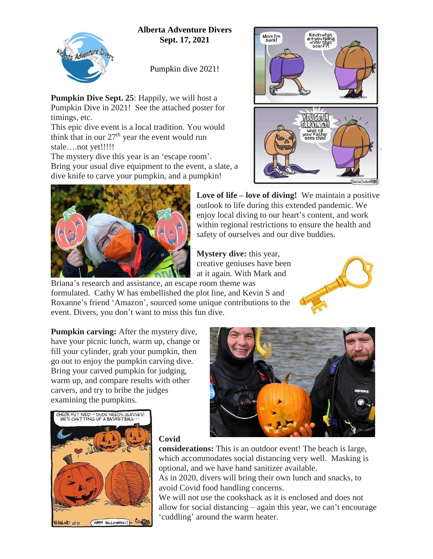## **Alberta Adventure Divers Sept. 17, 2021**



Pumpkin dive 2021!

**Pumpkin Dive Sept. 25**: Happily, we will host a Pumpkin Dive in 2021! See the attached poster for timings, etc.

This epic dive event is a local tradition. You would think that in our  $27<sup>th</sup>$  year the event would run stale….not yet!!!!!

The mystery dive this year is an 'escape room'. Bring your usual dive equipment to the event, a slate, a dive knife to carve your pumpkin, and a pumpkin!





**Love of life – love of diving!** We maintain a positive outlook to life during this extended pandemic. We enjoy local diving to our heart's content, and work within regional restrictions to ensure the health and safety of ourselves and our dive buddies.

**Mystery dive:** this year, creative geniuses have been at it again. With Mark and

Briana's research and assistance, an escape room theme was formulated. Cathy W has embellished the plot line, and Kevin S and Roxanne's friend 'Amazon', sourced some unique contributions to the event. Divers, you don't want to miss this fun dive.



**Pumpkin carving:** After the mystery dive, have your picnic lunch, warm up, change or fill your cylinder, grab your pumpkin, then go out to enjoy the pumpkin carving dive. Bring your carved pumpkin for judging, warm up, and compare results with other carvers, and try to bribe the judges examining the pumpkins.



## **Covid**

**considerations:** This is an outdoor event! The beach is large, which accommodates social distancing very well. Masking is optional, and we have hand sanitizer available.

As in 2020, divers will bring their own lunch and snacks, to avoid Covid food handling concerns.

We will not use the cookshack as it is enclosed and does not allow for social distancing – again this year, we can't encourage 'cuddling' around the warm heater.